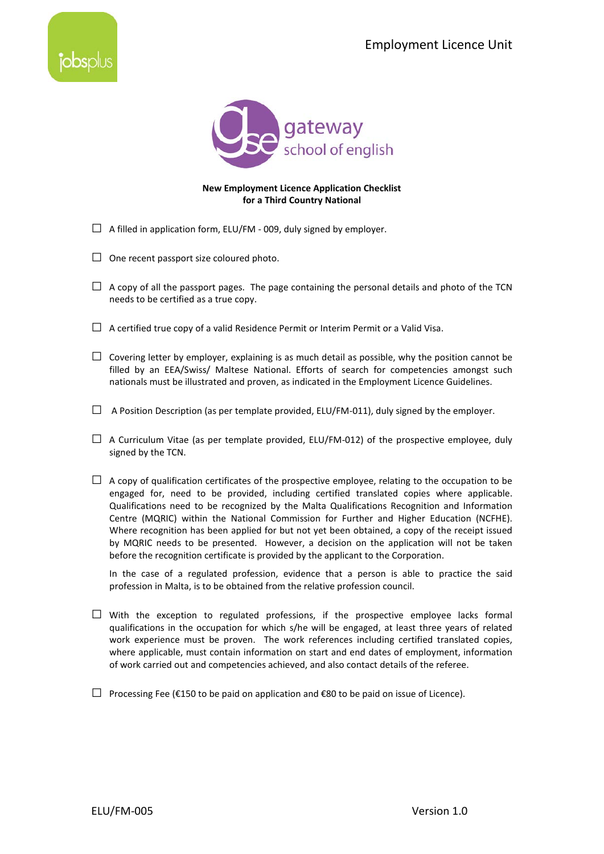



## **New Employment Licence Application Checklist for a Third Country National**

- $\Box$  A filled in application form, ELU/FM 009, duly signed by employer.
- $\Box$  One recent passport size coloured photo.
- $\Box$  A copy of all the passport pages. The page containing the personal details and photo of the TCN needs to be certified as a true copy.
- $\Box$  A certified true copy of a valid Residence Permit or Interim Permit or a Valid Visa.
- $\Box$  Covering letter by employer, explaining is as much detail as possible, why the position cannot be filled by an EEA/Swiss/ Maltese National. Efforts of search for competencies amongst such nationals must be illustrated and proven, as indicated in the Employment Licence Guidelines.
- $\Box$  A Position Description (as per template provided, ELU/FM-011), duly signed by the employer.
- $\Box$  A Curriculum Vitae (as per template provided, ELU/FM-012) of the prospective employee, duly signed by the TCN.
- $\Box$  A copy of qualification certificates of the prospective employee, relating to the occupation to be engaged for, need to be provided, including certified translated copies where applicable. Qualifications need to be recognized by the Malta Qualifications Recognition and Information Centre (MQRIC) within the National Commission for Further and Higher Education (NCFHE). Where recognition has been applied for but not yet been obtained, a copy of the receipt issued by MQRIC needs to be presented. However, a decision on the application will not be taken before the recognition certificate is provided by the applicant to the Corporation.

In the case of a regulated profession, evidence that a person is able to practice the said profession in Malta, is to be obtained from the relative profession council.

- $\square$  With the exception to regulated professions, if the prospective employee lacks formal qualifications in the occupation for which s/he will be engaged, at least three years of related work experience must be proven. The work references including certified translated copies, where applicable, must contain information on start and end dates of employment, information of work carried out and competencies achieved, and also contact details of the referee.
- $□$  Processing Fee (€150 to be paid on application and €80 to be paid on issue of Licence).